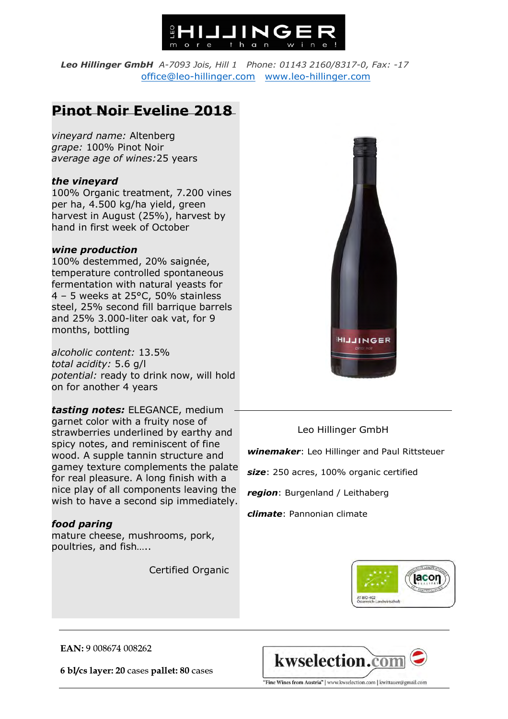

*Leo Hillinger GmbH A-7093 Jois, Hill 1 Phone: 01143 2160/8317-0, Fax: -17* office@leo-hillinger.com www.leo-hillinger.com

## **Pinot Noir Eveline 2018**

*vineyard name:* Altenberg *grape:* 100% Pinot Noir *average age of wines:*25 years

## *the vineyard*

100% Organic treatment, 7.200 vines per ha, 4.500 kg/ha yield, green harvest in August (25%), harvest by hand in first week of October

## *wine production*

100% destemmed, 20% saignée, temperature controlled spontaneous fermentation with natural yeasts for 4 – 5 weeks at 25°C, 50% stainless steel, 25% second fill barrique barrels and 25% 3.000-liter oak vat, for 9 months, bottling

 *potential:* ready to drink now, will hold *alcoholic content:* 13.5% *total acidity:* 5.6 g/l on for another 4 years

*tasting notes:* ELEGANCE, medium garnet color with a fruity nose of strawberries underlined by earthy and spicy notes, and reminiscent of fine wood. A supple tannin structure and gamey texture complements the palate for real pleasure. A long finish with a nice play of all components leaving the wish to have a second sip immediately.

## *food paring*

mature cheese, mushrooms, pork, poultries, and fish…..

Certified Organic



Leo Hillinger GmbH

 *winemaker*: Leo Hillinger and Paul Rittsteuer

 *size*: 250 acres, 100% organic certified

 *region*: Burgenland / Leithaberg

 *climate*: Pannonian climate



EAN: 9 008674 008262

6 bl/cs layer: 20 cases pallet: 80 cases